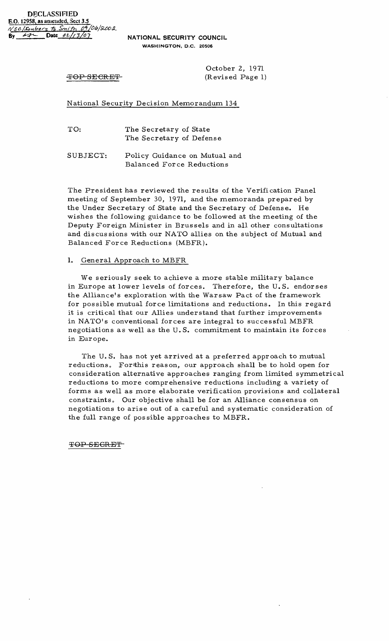**NATIONAL SECURITY COUNCIL WASHINGTON,** D.C. 20506

October 2, 1971 TOP SECRET (Revised Page 1)

National Security Decision Memorandum 134

TO: The Secretary of State The Secretary of Defense

SUBJECT: Policy Guidance on Mutual and Balanced For ce Reductions

The President has reviewed the results of the Verifi cation Panel meeting of September 30, 1971, and the memoranda prepared by the Under Secretary of State and the Secretary of Defense. He wishes the following guidance to be followed at the meeting of the Deputy Foreign Minister in Brussels and in all other consultations and discussions with our NATO allies on the subject of Mutual and Balanced Force Reductions (MBFR).

## 1. General Approach to MBFR

We seriously seek to achieve a more stable military balance in Europe at lower levels of forces. Therefore, the U. S. endorses the Alliance's exploration with the Warsaw Pact of the framework for possible mutual force limitations and reductions. In this regard it is critical that our Allies understand that further improvements in NATO's conventional forces are integral to successful MBFR negotiations as well as the U. S. commitment to maintain its forces in Europe.

The U. S. has not yet arrived at a preferred approach to mutual reductions. Forthis reason, our approach shall be to hold open for consideration alternative approaches ranging from limited symmetrical reductions to more comprehensive reductions including a variety of forms as well as more elaborate verification provisions and collateral constraints. Our objective shall be for an Alliance consensus on negotiations to arise out of a careful and systematic consideration of the full range of pos sible approaches to MBFR.

TOP SEGRET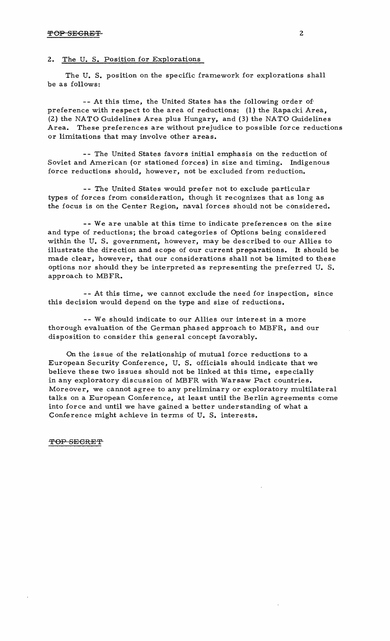## 2. The U. S. Position for Explorations

The U. S. position on the specific framework for explorations shall be as follows:

-- At this time, the United States has the following order of' preference with respect to the area of reductions: (1) the Rapacki Area, (2) the NATO Guidelines Area plus Hungary, and (3) the NATO Guidelines Area. These preferences are without prejudice to possible force reductions or limitations that may involve other areas.

- - The United States favors initial emphasis on the reduction of Soviet and American (or stationed forces) in size and timing. Indigenous force reductions should, however, not be excluded from reduction.

-- The United States would prefer not to exclude particular types of forces from consideration, though it recognizes that as long as the focus is on the Center Region, naval forces should not be considered.

-- We are unable at this time to indicate preferences on the size and type of reductions; the broad categories of Options being considered within the U. S. government, however, may be described to our Allies to illustrate the direction and scope of our current preparations. It should be made clear, however, that our considerations shall not be limited to these options nor should they be interpreted as representing the preferred U. S. approach to MBFR.

- - At this time, we cannot exclude the need for inspection, since this decision would depend on the type and size of reductions.

-- We should indicate to our Allies our interest in a more thorough evaluation of the German phased approach to MBFR, and our disposition to consider this general concept favorably.

On the issue of the relationship of mutual force reductions to a European Security Conference, U. S. officials should indicate that we believe these two issues should not be linked at this time, especially in any exploratory discussion of MBFR with Warsaw Pact countries. Moreover, we cannot agree to any preliminary or exploratory multilateral talks on a European Conference, at least until the Berlin agreements come into force and until we have gained a better understanding of what a Conference might achieve in terms of U. S. interests.

*-TOP* SECRET